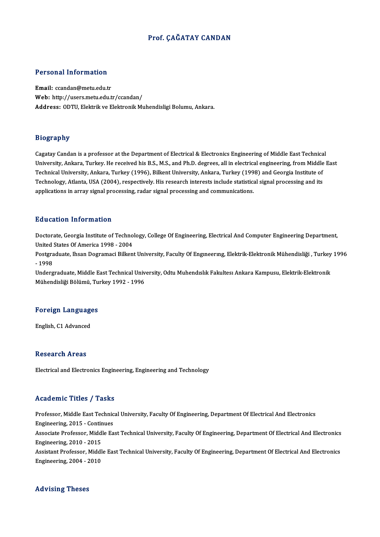### Prof. ÇAĞATAY CANDAN

# Personal Information

Personal Information<br>Email: ccandan@metu.edu.tr<br>Web: http://users.metu.edu.tr Email: ccandan@metu.edu.tr<br>Web: http://users.metu.edu.tr/ccandan/ Address: ODTU, Elektrik ve Elektronik Muhendisligi Bolumu, Ankara.

#### Biography

Cagatay Candan is a professor at the Department of Electrical & Electronics Engineering of Middle East Technical בניסף בייקאיץ.<br>Cagatay Candan is a professor at the Department of Electrical & Electronics Engineering of Middle East Technical<br>University, Ankara, Turkey. He received his B.S., M.S., and Ph.D. degrees, all in electrical Cagatay Candan is a professor at the Department of Electrical & Electronics Engineering of Middle East Technica<br>University, Ankara, Turkey. He received his B.S., M.S., and Ph.D. degrees, all in electrical engineering, from University, Ankara, Turkey. He received his B.S., M.S., and Ph.D. degrees, all in electrical engineering, from Middle<br>Technical University, Ankara, Turkey (1996), Bilkent University, Ankara, Turkey (1998) and Georgia Insti Technical University, Ankara, Turkey (1996), Bilkent University, Ankara, Turkey (1998) and Georgia Institute of<br>Technology, Atlanta, USA (2004), respectively. His research interests include statistical signal processing an

#### Education Information

Education Information<br>Doctorate, Georgia Institute of Technology, College Of Engineering, Electrical And Computer Engineering Department,<br>United States Of America 1998 - 2004 Pauseauon Information<br>Doctorate, Georgia Institute of Techno<br>United States Of America 1998 - 2004<br>Pestanduate, Ibean Degramagi Billian Doctorate, Georgia Institute of Technology, College Of Engineering, Electrical And Computer Engineering Department,<br>United States Of America 1998 - 2004<br>Postgraduate, Ihsan Dogramaci Bilkent University, Faculty Of Engineer

United<br>Postgra<br>- 1998<br>Underg Postgraduate, Ihsan Dogramaci Bilkent University, Faculty Of Engmeering, Elektrik-Elektronik Mühendisliği , Turkey<br>- 1998<br>Undergraduate, Middle East Technical University, Odtu Muhendislik Fakultesi Ankara Kampusu, Elektrik

- 1998<br>Undergraduate, Middle East Technical Univ<br>Mühendisliği Bölümü, Turkey 1992 - 1996

## munenaisiigi Bolumu, Tu<br>Foreign Languages <mark>Foreign Language</mark><br>English, C1 Advanced

English, C1 Advanced<br>Research Areas

Electrical and Electronics Engineering, Engineering and Technology

#### Academic Titles / Tasks

Academic Titles / Tasks<br>Professor, Middle East Technical University, Faculty Of Engineering, Department Of Electrical And Electronics<br>Engineering, 2015, Continues Professor, Middle East Technic<br>Engineering, 2015 - Continues<br>Associate Brofessor, Middle Ea Professor, Middle East Technical University, Faculty Of Engineering, Department Of Electrical And Electronics<br>Engineering, 2015 - Continues<br>Associate Professor, Middle East Technical University, Faculty Of Engineering, Dep Engineering, 2015 - Continues<br>Associate Professor, Middle East Technical University, Faculty Of Engineering, Department Of Electrical And Electronics<br>Engineering, 2010 - 2015 Associate Professor, Middle East Technical University, Faculty Of Engineering, Department Of Electrical And Electronics<br>Engineering, 2010 - 2015<br>Assistant Professor, Middle East Technical University, Faculty Of Engineering Engineering, 2010 - 2015<br>Assistant Professor, Middl<br>Engineering, 2004 - 2010

# Engineering, 2004 - 2010<br>Advising Theses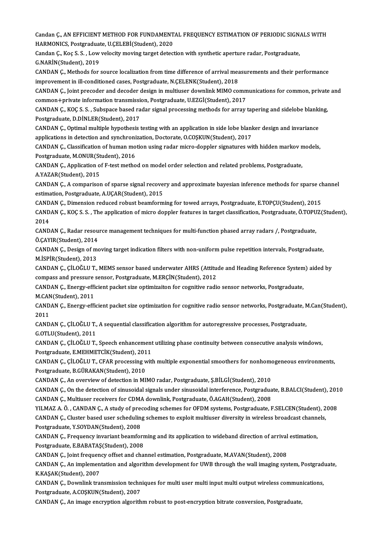Candan Ç., AN EFFICIENT METHOD FOR FUNDAMENTAL FREQUENCY ESTIMATION OF PERIODIC SIGNALS WITH<br>HARMONICS, Restspeduate H.CELERI(Student), 2020 Candan Ç., AN EFFICIENT METHOD FOR FUNDAMENT<br>HARMONICS, Postgraduate, U.ÇELEBİ(Student), 2020<br>Candan G. Kos S. S. J. av vələsity mayinə tərəst datası Candan Ç., AN EFFICIENT METHOD FOR FUNDAMENTAL FREQUENCY ESTIMATION OF PERIODIC SIGN.<br>HARMONICS, Postgraduate, U.ÇELEBİ(Student), 2020<br>Candan Ç., Koç S. S. , Low velocity moving target detection with synthetic aperture rad

HARMONICS, Postgraduate, U.ÇELEBİ(Student), 2020<br>Candan Ç., Koç S. S. , Low velocity moving target detection with synthetic aperture radar, Postgraduate,<br>G.NARİN(Student). 2019 Candan Ç., Koç S. S. , Low velocity moving target detection with synthetic aperture radar, Postgraduate,<br>G.NARİN(Student), 2019<br>CANDAN Ç., Methods for source localization from time difference of arrival measurements and th

G.NARİN(Student), 2019<br>CANDAN Ç., Methods for source localization from time difference of arrival mea<br>improvement in ill-conditioned cases, Postgraduate, N.ÇELENK(Student), 2018<br>CANDAN G. Joint proceder and deseder design CANDAN Ç., Methods for source localization from time difference of arrival measurements and their performance<br>improvement in ill-conditioned cases, Postgraduate, N.ÇELENK(Student), 2018<br>CANDAN Ç., Joint precoder and decode

improvement in ill-conditioned cases, Postgraduate, N.ÇELENK(Student), 2018<br>CANDAN Ç., Joint precoder and decoder design in multiuser downlink MIMO comm<br>common+private information transmission, Postgraduate, U.EZGİ(Student CANDAN Ç., Joint precoder and decoder design in multiuser downlink MIMO communications for common, private<br>common+private information transmission, Postgraduate, U.EZGİ(Student), 2017<br>CANDAN Ç., KOÇ S. S. , Subspace based

common+private information transmission, Postgraduate, U.EZGİ(Student), 2017<br>CANDAN Ç., KOÇ S. S. , Subspace based radar signal processing methods for array tapering and sidelobe blanking,<br>Postgraduate, D.DİNLER(Student), CANDAN Ç., KOÇ S. S. , Subspace based radar signal processing methods for array tapering and sidelobe blanki<br>Postgraduate, D.DINLER(Student), 2017<br>CANDAN Ç., Optimal multiple hypothesis testing with an application in side

Postgraduate, D.DİNLER(Student), 2017<br>CANDAN Ç., Optimal multiple hypothesis testing with an application in side lobe blanl<br>applications in detection and synchronization, Doctorate, O.COŞKUN(Student), 2017<br>CANDAN G. Classi CANDAN Ç., Optimal multiple hypothesis testing with an application in side lobe blanker design and invariance<br>applications in detection and synchronization, Doctorate, O.COŞKUN(Student), 2017<br>CANDAN Ç., Classification of h

applications in detection and synchronic<br>CANDAN C., Classification of human mo<br>Postgraduate, M.ONUR(Student), 2016<br>CANDAN C. Application of E test metho CANDAN Ç., Classification of human motion using radar micro-doppler signatures with hidden markov n<br>Postgraduate, M.ONUR(Student), 2016<br>CANDAN Ç., Application of F-test method on model order selection and related problems,

Postgraduate, M.ONUR(St<br>CANDAN Ç., Application o<br>A.YAZAR(Student), 2015 CANDAN Ç., Application of F-test method on model order selection and related problems, Postgraduate,<br>A.YAZAR(Student), 2015<br>CANDAN Ç., A comparison of sparse signal recovery and approximate bayesian inference methods for s

A.YAZAR(Student), 2015<br>CANDAN Ç., A comparison of sparse signal recove<br>estimation, Postgraduate, A.UÇAR(Student), 2015<br>CANDAN G. Dimonsion reduced rebust beomform CANDAN Ç., A comparison of sparse signal recovery and approximate bayesian inference methods for sparse clestimation, Postgraduate, A.UÇAR(Student), 2015<br>CANDAN Ç., Dimension reduced robust beamforming for towed arrays, Po

estimation, Postgraduate, A.UÇAR(Student), 2015<br>CANDAN Ç., Dimension reduced robust beamforming for towed arrays, Postgraduate, E.TOPÇU(Student), 2015<br>CANDAN Ç., KOÇ S. S. , The application of micro doppler features in tar CAND<br>CAND<br>2014<br>CAND CANDAN Ç., KOÇ S. S. , The application of micro doppler features in target classification, Postgraduate, Ö.TOPU<br>2014<br>CANDAN Ç., Radar resource management techniques for multi-function phased array radars /, Postgraduate,<br>Ö

2014<br>CANDAN Ç., Radar resource management techniques for multi-function phased array radars /, Postgraduate,<br>Ö.ÇAYIR(Student), 2014 CANDAN Ç., Radar resource management techniques for multi-function phased array radars /, Postgraduate,<br>Ö.ÇAYIR(Student), 2014<br>CANDAN Ç., Design of moving target indication filters with non-uniform pulse repetition interva

Ö.ÇAYIR(Student), 2014<br>CANDAN Ç., Design of m<br>M.İSPİR(Student), 2013<br>CANDAN Ç. ÇİLQÖLLI T CANDAN Ç., Design of moving target indication filters with non-uniform pulse repetition intervals, Postgraduate,<br>M.İSPİR(Student), 2013<br>CANDAN Ç., ÇİLOĞLU T., MEMS sensor based underwater AHRS (Attitude and Heading Referen

M.İSPİR(Student), 2013<br>CANDAN Ç., ÇİLOĞLU T., MEMS sensor based underwater AHRS (Attitud<br>compass and pressure sensor, Postgraduate, M.ERÇİN(Student), 2012<br>CANDAN G. Energy efficient posket sire entimizajten for segnitive r CANDAN Ç., ÇİLOĞLU T., MEMS sensor based underwater AHRS (Attitude and Heading Reference System<br>compass and pressure sensor, Postgraduate, M.ERÇİN(Student), 2012<br>CANDAN Ç., Energy-efficient packet size optimizaiton for cog

compass and pressure sensor, Postgraduate, M.ERÇİN(Student), 2012<br>CANDAN Ç., Energy-efficient packet size optimizaiton for cognitive radio sensor networks, Postgraduate, M.CAN(Student), 2011

CANDAN Ç., Energy-efficient packet size optimization for cognitive radio sensor networks, Postgraduate, M.Can(Student),<br>2011 CANDAN Ç., Energy-efficient packet size optimization for cognitive radio sensor networks, Postgraduate, N<br>2011<br>CANDAN Ç., ÇİLOĞLU T., A sequential classification algorithm for autoregressive processes, Postgraduate,<br>C.OTI

2011<br>CANDAN Ç., ÇİLOĞLU T.,<br>G.OTLU(Student), 2011<br>CANDAN Ç. ÇİLOĞLU T. CANDAN Ç., ÇİLOĞLU T., A sequential classification algorithm for autoregressive processes, Postgraduate,<br>G.OTLU(Student), 2011<br>CANDAN Ç., ÇİLOĞLU T., Speech enhancement utilizing phase continuity between consecutive analys

G.OTLU(Student), 2011<br>CANDAN Ç., ÇİLOĞLU T., Speech enhancement<br>Postgraduate, E.MEHMETCİK(Student), 2011<br>CANDAN G. ÇİLOĞLU T. GEAR presessine yütl CANDAN Ç., ÇİLOĞLU T., Speech enhancement utilizing phase continuity between consecutive analysis windows,<br>Postgraduate, E.MEHMETCİK(Student), 2011<br>CANDAN Ç., ÇİLOĞLU T., CFAR processing with multiple exponential smoothers

Postgraduate, E.MEHMETCİK(Student), 2011<br>CANDAN Ç., ÇİLOĞLU T., CFAR processing with multiple exponential smoothers for nonhomogeneous environments,<br>Postgraduate, B.GÜRAKAN(Student), 2010 CANDAN Ç., ÇİLOĞLU T., CFAR processing with multiple exponential smoothers for nonhomo<br>Postgraduate, B.GÜRAKAN(Student), 2010<br>CANDAN Ç., An overview of detection in MIMO radar, Postgraduate, Ş.BİLGİ(Student), 2010<br>CANDAN Ç

CANDAN Ç., On the detection of sinusoidal signals under sinusoidal interference, Postgraduate, B.BALCI(Student), 2010<br>CANDAN Ç., Multiuser receivers for CDMA downlink, Postgraduate, Ö.AGAH(Student), 2008 CANDAN Ç., An overview of detection in MIMO radar, Postgraduate, Ş.BİLGİ(Student), 2010<br>CANDAN Ç., On the detection of sinusoidal signals under sinusoidal interference, Postgraduat<br>CANDAN Ç., Multiuser receivers for CDMA d CANDAN Ç., On the detection of sinusoidal signals under sinusoidal interference, Postgraduate, B.BALCI(Student), 201<br>CANDAN Ç., Multiuser receivers for CDMA downlink, Postgraduate, Ö.AGAH(Student), 2008<br>YILMAZ A. Ö. , CAND

CANDAN Ç., Multiuser receivers for CDMA downlink, Postgraduate, Ö.AGAH(Student), 2008<br>YILMAZ A. Ö. , CANDAN Ç., A study of precoding schemes for OFDM systems, Postgraduate, F.SELCEN(Student), 2<br>CANDAN Ç., Cluster based use YILMAZ A. Ö. , CANDAN Ç., A study of prec<br>CANDAN Ç., Cluster based user schedulin<br>Postgraduate, Y.SOYDAN(Student), 2008<br>CANDAN G. Exequengy inverient beemfo

CANDAN Ç., Cluster based user scheduling schemes to exploit multiuser diversity in wireless broadcast channels,<br>Postgraduate, Y.SOYDAN(Student), 2008<br>CANDAN Ç., Frequency invariant beamforming and its application to wideba Postgraduate, Y.SOYDAN(Student), 2008<br>CANDAN Ç., Frequency invariant beamform<br>Postgraduate, E.BABATAŞ(Student), 2008<br>CANDAN G. Joint frequency offest and sha CANDAN Ç., Frequency invariant beamforming and its application to wideband direction of arrival<br>Postgraduate, E.BABATAŞ(Student), 2008<br>CANDAN Ç., Joint frequency offset and channel estimation, Postgraduate, M.AVAN(Student)

Postgraduate, E.BABATAŞ(Student), 2008<br>CANDAN Ç., Joint frequency offset and channel estimation, Postgraduate, M.AVAN(Student), 2008<br>CANDAN Ç., An implementation and algorithm development for UWB through the wall imaging s CANDAN Ç., Joint frequen<br>CANDAN Ç., An implemen<br>K.KAŞAK(Student), 2007<br>CANDAN G. Doumlink tro CANDAN Ç., An implementation and algorithm development for UWB through the wall imaging system, Postgrad<br>K.KAŞAK(Student), 2007<br>CANDAN Ç., Downlink transmission techniques for multi user multi input multi output wireless c

K.KAŞAK(Student), 2007<br>CANDAN Ç., Downlink transmission techniques for multi user multi input multi output wireless communications,<br>Postgraduate, A.COŞKUN(Student), 2007

CANDAN Ç., An image encryption algorithm robust to post-encryption bitrate conversion, Postgraduate,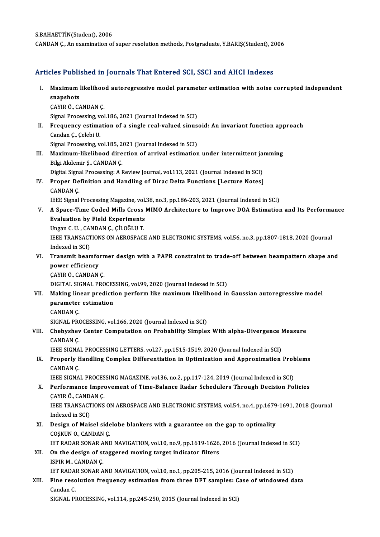### Articles Published in Journals That Entered SCI, SSCI and AHCI Indexes

rticles Published in Journals That Entered SCI, SSCI and AHCI Indexes<br>I. Maximum likelihood autoregressive model parameter estimation with noise corrupted independent<br>spanshets Maximum<br>Snapshots<br>CAVIP Ö. CA Maximum likelihoo<br>snapshots<br>ÇAYIR Ö., CANDAN Ç.<br>Signal Processing vol snapshots<br>CAYIR Ö., CANDAN Ç.<br>Signal Processing, vol.186, 2021 (Journal Indexed in SCI) II. Frequency estimation of a single real-valued sinusoid: An invariant function approach Candan Ç., Çelebi U. Frequency estimation of a single real-valued sinus<br>Candan Ç., Çelebi U.<br>Signal Processing, vol.185, 2021 (Journal Indexed in SCI)<br>Movimum likelihood dinastion of annival estimation Candan Ç., Çelebi U.<br>Signal Processing, vol.185, 2021 (Journal Indexed in SCI)<br>III. Maximum-likelihood direction of arrival estimation under intermittent jamming<br>Piki Akdomir S. CANDAN C. Signal Processing, vol.185, 2<br>Maximum-likelihood dire<br>Bilgi Akdemir Ş., CANDAN Ç.<br>Digital Signal Processing: A I Maximum-likelihood direction of arrival estimation under intermittent ja<br>Bilgi Akdemir Ş., CANDAN Ç.<br>Digital Signal Processing: A Review Journal, vol.113, 2021 (Journal Indexed in SCI)<br>Proper Definition and Handling of Dir Bilgi Akdemir Ş., CANDAN Ç.<br>Digital Signal Processing: A Review Journal, vol.113, 2021 (Journal Indexed in SCI)<br>IV. Proper Definition and Handling of Dirac Delta Functions [Lecture Notes] Digital Signa<br>Proper De<br>CANDAN Ç.<br><sup>LEEE Signal</sup> Proper Definition and Handling of Dirac Delta Functions [Lecture Notes]<br>CANDAN Ç.<br>IEEE Signal Processing Magazine, vol.38, no.3, pp.186-203, 2021 (Journal Indexed in SCI)<br>A Spage Time Coded Mille Crees MIMO Arehitecture to CANDAN Ç.<br>IEEE Signal Processing Magazine, vol.38, no.3, pp.186-203, 2021 (Journal Indexed in SCI)<br>V. A Space-Time Coded Mills Cross MIMO Architecture to Improve DOA Estimation and Its Performance<br>Evaluation by Field Ex **IEEE Signal Processing Magazine, vol.<br>A Space-Time Coded Mills Cross<br>Evaluation by Field Experiments**<br>Ungen G H - GANDAN G - GU QČLU T A Space-Time Coded Mills Cross<br>Evaluation by Field Experiments<br>Ungan C. U. , CANDAN Ç., ÇİLOĞLU T.<br>IEEE TRANSACTIONS ON AEROSPACI Evaluation by Field Experiments<br>Ungan C. U. , CANDAN Ç., ÇİLOĞLU T.<br>IEEE TRANSACTIONS ON AEROSPACE AND ELECTRONIC SYSTEMS, vol.56, no.3, pp.1807-1818, 2020 (Journal<br>Indexed in SCD. Ungan C. U. , CA<br>IEEE TRANSACT<br>Indexed in SCI)<br>Transmit bean IEEE TRANSACTIONS ON AEROSPACE AND ELECTRONIC SYSTEMS, vol.56, no.3, pp.1807-1818, 2020 (Journal Indexed in SCI)<br>VI. Transmit beamformer design with a PAPR constraint to trade-off between beampattern shape and<br>nower effici Indexed in SCI)<br>Transmit beamfo<br>power efficiency<br>CAVIB Ö. CANDAN **Transmit beamforn<br>power efficiency<br>ÇAYIR Ö., CANDAN Ç.<br>DICITAL SICNAL PRO** power efficiency<br>ÇAYIR Ö., CANDAN Ç.<br>DIGITAL SIGNAL PROCESSING, vol.99, 2020 (Journal Indexed in SCI) VII. Making linear prediction perform like maximum likelihood in Gaussian autoregressive model DIGITAL SIGNAL PROCES<br>Making linear predicti<br>parameter estimation<br>CANDAN C Making lin<br>parameter<br>CANDAN Ç.<br>SICNAL PR( CANDAN Ç.<br>SIGNAL PROCESSING, vol.166, 2020 (Journal Indexed in SCI) CANDAN Ç.<br>SIGNAL PROCESSING, vol.166, 2020 (Journal Indexed in SCI)<br>VIII. CANDAN C Center Computation on Probability Simplex With alpha-Divergence Measure SIGNAL PRO<br>Chebyshev<br>CANDAN Ç. Chebyshev Center Computation on Probability Simplex With alpha-Divergence I<br>CANDAN Ç.<br>IEEE SIGNAL PROCESSING LETTERS, vol.27, pp.1515-1519, 2020 (Journal Indexed in SCI)<br>Properly Handling Complex Differentiation in Optimiz CANDAN Ç.<br>IEEE SIGNAL PROCESSING LETTERS, vol.27, pp.1515-1519, 2020 (Journal Indexed in SCI)<br>IX. Properly Handling Complex Differentiation in Optimization and Approximation Problems<br>CANDAN C IEEE SIGNA<br>Properly F<br>CANDAN Ç.<br>IEEE SICNA Properly Handling Complex Differentiation in Optimization and Approximation Prob<br>CANDAN Ç.<br>IEEE SIGNAL PROCESSING MAGAZINE, vol.36, no.2, pp.117-124, 2019 (Journal Indexed in SCI)<br>Performance Improvement of Time Balance Ba CANDAN Ç.<br>IEEE SIGNAL PROCESSING MAGAZINE, vol.36, no.2, pp.117-124, 2019 (Journal Indexed in SCI)<br>X. Performance Improvement of Time-Balance Radar Schedulers Through Decision Policies<br>CAVIP Ö. CANDAN C **IEEE SIGNAL PROCES<br>Performance Impro<br>ÇAYIR Ö., CANDAN Ç.<br>IEEE TPANSACTIONS** Performance Improvement of Time-Balance Radar Schedulers Through Decision Policies<br>ÇAYIR Ö., CANDAN Ç.<br>IEEE TRANSACTIONS ON AEROSPACE AND ELECTRONIC SYSTEMS, vol.54, no.4, pp.1679-1691, 2018 (Journal<br>Indeved in SCD. CAYIR Ö., CAND.<br>IEEE TRANSACI<br>Indexed in SCI)<br>Design of Mai IEEE TRANSACTIONS ON AEROSPACE AND ELECTRONIC SYSTEMS, vol.54, no.4, pp.1679<br>Indexed in SCI)<br>XI. Design of Maisel sidelobe blankers with a guarantee on the gap to optimality<br>COSVIN O. CANDAN C Indexed in SCI)<br>Design of Maisel side<br>COŞKUN O., CANDAN Ç.<br>IET PADAP SONAP ANI Design of Maisel sidelobe blankers with a guarantee on the gap to optimality<br>COSKUN 0., CANDAN C.<br>IET RADAR SONAR AND NAVIGATION, vol.10, no.9, pp.1619-1626, 2016 (Journal Indexed in SCI)<br>On the design of staggared moving COSKUN O., CANDAN C.<br>IET RADAR SONAR AND NAVIGATION, vol.10, no.9, pp.1619-1626<br>XII. On the design of staggered moving target indicator filters<br>ISPIR M., CANDAN C. **IET RADAR SONAR A<br>On the design of st<br>ISPIR M., CANDAN Ç.<br>IET PADAR SONAR A** On the design of staggered moving target indicator filters<br>ISPIR M., CANDAN Ç.<br>IET RADAR SONAR AND NAVIGATION, vol.10, no.1, pp.205-215, 2016 (Journal Indexed in SCI)<br>Fine resolution frequency estimation from three DET sam ISPIR M., CANDAN Ç.<br>IET RADAR SONAR AND NAVIGATION, vol.10, no.1, pp.205-215, 2016 (Journal Indexed in SCI)<br>XIII. Fine resolution frequency estimation from three DFT samples: Case of windowed data **IET RADA<br>Fine reso<br>Candan C.<br>SICNAL PI** Fine resolution frequency estimation from three DFT samples: C<br>Candan C.<br>SIGNAL PROCESSING, vol.114, pp.245-250, 2015 (Journal Indexed in SCI)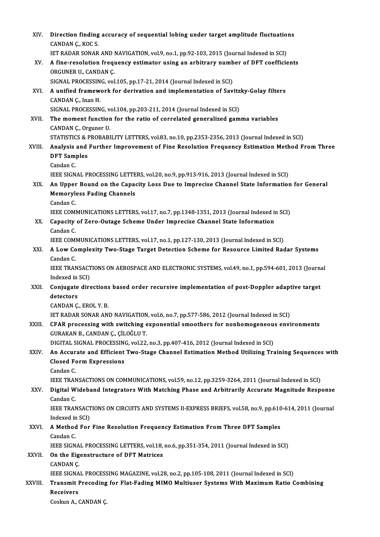| XIV.    | Direction finding accuracy of sequential lobing under target amplitude fluctuations<br>CANDAN Ç, KOC S                                                                                                                     |
|---------|----------------------------------------------------------------------------------------------------------------------------------------------------------------------------------------------------------------------------|
|         | IET RADAR SONAR AND NAVIGATION, vol.9, no.1, pp.92-103, 2015 (Journal Indexed in SCI)                                                                                                                                      |
| XV.     | A fine-resolution frequency estimator using an arbitrary number of DFT coefficients<br>ORGUNER U., CANDAN Ç.                                                                                                               |
|         | SIGNAL PROCESSING, vol.105, pp.17-21, 2014 (Journal Indexed in SCI)                                                                                                                                                        |
| XVI.    | A unified framework for derivation and implementation of Savitzky-Golay filters<br>CANDAN Ç, Inan H                                                                                                                        |
|         | SIGNAL PROCESSING, vol.104, pp.203-211, 2014 (Journal Indexed in SCI)                                                                                                                                                      |
| XVII.   | The moment function for the ratio of correlated generalized gamma variables<br>CANDAN Ç., Orguner U.                                                                                                                       |
|         | STATISTICS & PROBABILITY LETTERS, vol.83, no.10, pp.2353-2356, 2013 (Journal Indexed in SCI)                                                                                                                               |
| XVIII.  | Analysis and Further Improvement of Fine Resolution Frequency Estimation Method From Three<br><b>DFT</b> Samples                                                                                                           |
|         | Candan C                                                                                                                                                                                                                   |
| XIX.    | IEEE SIGNAL PROCESSING LETTERS, vol.20, no.9, pp.913-916, 2013 (Journal Indexed in SCI)<br>An Upper Bound on the Capacity Loss Due to Imprecise Channel State Information for General<br><b>Memoryless Fading Channels</b> |
|         | Candan C.                                                                                                                                                                                                                  |
|         | IEEE COMMUNICATIONS LETTERS, vol.17, no.7, pp.1348-1351, 2013 (Journal Indexed in SCI)                                                                                                                                     |
| XX.     | Capacity of Zero-Outage Scheme Under Imprecise Channel State Information<br>Candan C.                                                                                                                                      |
|         | IEEE COMMUNICATIONS LETTERS, vol.17, no.1, pp.127-130, 2013 (Journal Indexed in SCI)                                                                                                                                       |
| XXI.    | A Low Complexity Two-Stage Target Detection Scheme for Resource Limited Radar Systems                                                                                                                                      |
|         | Candan C                                                                                                                                                                                                                   |
|         | IEEE TRANSACTIONS ON AEROSPACE AND ELECTRONIC SYSTEMS, vol.49, no.1, pp.594-601, 2013 (Journal<br>Indexed in SCI)                                                                                                          |
| XXII.   | Conjugate directions based order recursive implementation of post-Doppler adaptive target<br>detectors                                                                                                                     |
|         | CANDAN Ç, EROL Y B.                                                                                                                                                                                                        |
|         | IET RADAR SONAR AND NAVIGATION, vol.6, no.7, pp.577-586, 2012 (Journal Indexed in SCI)                                                                                                                                     |
| XXIII.  | CFAR processing with switching exponential smoothers for nonhomogeneous environments<br>GURAKAN B., CANDAN Ç., ÇİLOĞLU T.                                                                                                  |
|         | DIGITAL SIGNAL PROCESSING, vol.22, no.3, pp.407-416, 2012 (Journal Indexed in SCI)                                                                                                                                         |
| XXIV.   | An Accurate and Efficient Two-Stage Channel Estimation Method Utilizing Training Sequences with<br><b>Closed Form Expressions</b>                                                                                          |
|         | Candan C.                                                                                                                                                                                                                  |
|         | IEEE TRANSACTIONS ON COMMUNICATIONS, vol.59, no.12, pp.3259-3264, 2011 (Journal Indexed in SCI)                                                                                                                            |
| XXV.    | Digital Wideband Integrators With Matching Phase and Arbitrarily Accurate Magnitude Response<br>Candan C                                                                                                                   |
|         | IEEE TRANSACTIONS ON CIRCUITS AND SYSTEMS II-EXPRESS BRIEFS, vol.58, no.9, pp.610-614, 2011 (Journal                                                                                                                       |
|         | Indexed in SCI)                                                                                                                                                                                                            |
| XXVI.   | A Method For Fine Resolution Frequency Estimation From Three DFT Samples<br>Candan C                                                                                                                                       |
|         | IEEE SIGNAL PROCESSING LETTERS, vol.18, no.6, pp.351-354, 2011 (Journal Indexed in SCI)                                                                                                                                    |
| XXVII.  | On the Eigenstructure of DFT Matrices<br>CANDAN <sub>Ç</sub>                                                                                                                                                               |
|         | IEEE SIGNAL PROCESSING MAGAZINE, vol.28, no.2, pp.105-108, 2011 (Journal Indexed in SCI)                                                                                                                                   |
| XXVIII. | Transmit Precoding for Flat-Fading MIMO Multiuser Systems With Maximum Ratio Combining<br><b>Receivers</b>                                                                                                                 |
|         | Coskun A., CANDAN Ç.                                                                                                                                                                                                       |
|         |                                                                                                                                                                                                                            |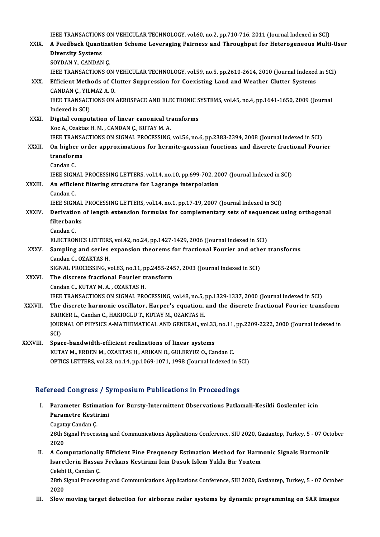| XXIX.        | IEEE TRANSACTIONS ON VEHICULAR TECHNOLOGY, vol.60, no.2, pp.710-716, 2011 (Journal Indexed in SCI)<br>A Feedback Quantization Scheme Leveraging Fairness and Throughput for Heterogeneous Multi-User |
|--------------|------------------------------------------------------------------------------------------------------------------------------------------------------------------------------------------------------|
|              | <b>Diversity Systems</b>                                                                                                                                                                             |
|              | SOYDAN Y, CANDAN Ç.                                                                                                                                                                                  |
|              | IEEE TRANSACTIONS ON VEHICULAR TECHNOLOGY, vol.59, no.5, pp.2610-2614, 2010 (Journal Indexed in SCI)                                                                                                 |
| XXX.         | Efficient Methods of Clutter Suppression for Coexisting Land and Weather Clutter Systems                                                                                                             |
|              | CANDAN Ç., YILMAZ A. Ö.                                                                                                                                                                              |
|              | IEEE TRANSACTIONS ON AEROSPACE AND ELECTRONIC SYSTEMS, vol.45, no.4, pp.1641-1650, 2009 (Journal<br>Indexed in SCI)                                                                                  |
| XXXI.        | Digital computation of linear canonical transforms                                                                                                                                                   |
|              | Koc A., Ozaktas H. M., CANDAN Ç., KUTAY M. A.                                                                                                                                                        |
|              | IEEE TRANSACTIONS ON SIGNAL PROCESSING, vol.56, no.6, pp.2383-2394, 2008 (Journal Indexed in SCI)                                                                                                    |
| XXXII.       | On higher order approximations for hermite-gaussian functions and discrete fractional Fourier                                                                                                        |
|              | transforms                                                                                                                                                                                           |
|              | Candan C.                                                                                                                                                                                            |
|              | IEEE SIGNAL PROCESSING LETTERS, vol.14, no.10, pp.699-702, 2007 (Journal Indexed in SCI)                                                                                                             |
| XXXIII.      | An efficient filtering structure for Lagrange interpolation                                                                                                                                          |
|              | Candan C.                                                                                                                                                                                            |
|              | IEEE SIGNAL PROCESSING LETTERS, vol.14, no.1, pp.17-19, 2007 (Journal Indexed in SCI)                                                                                                                |
| XXXIV.       | Derivation of length extension formulas for complementary sets of sequences using orthogonal                                                                                                         |
|              | filterbanks                                                                                                                                                                                          |
|              | Candan C.                                                                                                                                                                                            |
|              | ELECTRONICS LETTERS, vol.42, no.24, pp.1427-1429, 2006 (Journal Indexed in SCI)                                                                                                                      |
| XXXV.        | Sampling and series expansion theorems for fractional Fourier and other transforms<br>Candan C., OZAKTAS H.                                                                                          |
|              | SIGNAL PROCESSING, vol.83, no.11, pp.2455-2457, 2003 (Journal Indexed in SCI)                                                                                                                        |
| <b>XXXVI</b> | The discrete fractional Fourier transform                                                                                                                                                            |
|              | Candan C., KUTAY M. A., OZAKTAS H.                                                                                                                                                                   |
|              | IEEE TRANSACTIONS ON SIGNAL PROCESSING, vol.48, no.5, pp.1329-1337, 2000 (Journal Indexed in SCI)                                                                                                    |
| XXXVII.      | The discrete harmonic oscillator, Harper's equation, and the discrete fractional Fourier transform                                                                                                   |
|              | BARKER L., Candan C., HAKIOGLU T., KUTAY M., OZAKTAS H.                                                                                                                                              |
|              | JOURNAL OF PHYSICS A-MATHEMATICAL AND GENERAL, vol.33, no.11, pp.2209-2222, 2000 (Journal Indexed in                                                                                                 |
|              | SCI)                                                                                                                                                                                                 |
| XXXVIII.     | Space-bandwidth-efficient realizations of linear systems                                                                                                                                             |
|              | KUTAY M., ERDEN M., OZAKTAS H., ARIKAN O., GULERYUZ O., Candan C.                                                                                                                                    |
|              | OPTICS LETTERS, vol.23, no.14, pp.1069-1071, 1998 (Journal Indexed in SCI)                                                                                                                           |
|              |                                                                                                                                                                                                      |

## Refereed Congress / Symposium Publications in Proceedings

- efereed Congress / Symposium Publications in Proceedings<br>I. Parameter Estimation for Bursty-Intermittent Observations Patlamali-Kesikli Gozlemler icin<br>Parametre Kestinimi Parameter Estimation<br>Parameter Estimation<br>Casstav Candan C Parameter Estim<br>Parametre Kestin<br>Cagatay Candan Ç.<br>29th Simal Proces
	-

Parametre Kestirimi<br>Cagatay Candan Ç.<br>28th Signal Processing and Communications Applications Conference, SIU 2020, Gaziantep, Turkey, 5 - 07 October Cagata<br>28th S<br>2020 28th Signal Processing and Communications Applications Conference, SIU 2020, Gaziantep, Turkey, 5 - 07 Oct 2020<br>II. A Computationally Efficient Fine Frequency Estimation Method for Harmonic Signals Harmonik<br>Isanatlarin Has

2020<br>II. A Computationally Efficient Fine Frequency Estimation Method for Harmonic Signals Harmonik<br>Isaretlerin Hassas Frekans Kestirimi Icin Dusuk Islem Yuklu Bir Yontem Çelebi U., Candan Ç. Isaretlerin Hassas Frekans Kestirimi Icin Dusuk Islem Yuklu Bir Yontem<br>Çelebi U., Candan Ç.<br>28th Signal Processing and Communications Applications Conference, SIU 2020, Gaziantep, Turkey, 5 - 07 October<br>2020

Celebi<br>28th S<br>2020<br>Slow 28th Signal Processing and Communications Applications Conference, SIU 2020, Gaziantep, Turkey, 5 - 07 Octobe<br>2020<br>III. Slow moving target detection for airborne radar systems by dynamic programming on SAR images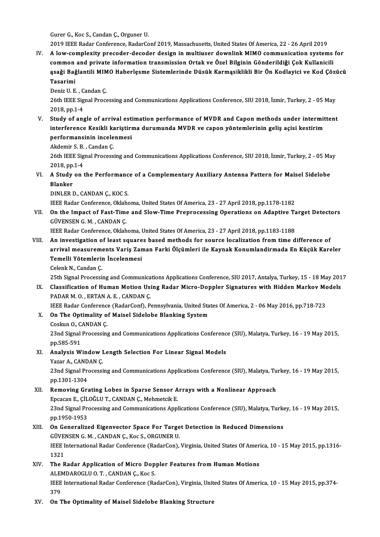Gurer G., Koc S., Candan Ç., Orguner U.

2019 IEEE Radar Conference, RadarConf 2019, Massachusetts, United States Of America, 22 - 26 April 2019

Gurer G., Koc S., Candan Ç., Orguner U.<br>2019 IEEE Radar Conference, RadarConf 2019, Massachusetts, United States Of America, 22 - 26 April 2019<br>IV. A low-complexity precoder-decoder design in multiuser downlink MIMO commun 2019 IEEE Radar Conference, RadarConf 2019, Massachusetts, United States Of America, 22 - 26 April 2019<br>A low-complexity precoder-decoder design in multiuser downlink MIMO communication systems<br>common and private informati A low-complexity precoder-decoder design in multiuser downlink MIMO communication systems for<br>common and private information transmission Ortak ve Özel Bilginin Gönderildiği Çok Kullanicili<br>ąsaği Bağlantili MIMO Haberlęsme common and private information transmission Ortak ve Özel Bilginin Gönderildiği Çok Kullanicili<br>ąsaği Bağlantili MIMO Haberlęsme Sistemlerinde Düsük Karmąsiklikli Bir Ön Kodlayici ve Kod Çöz<br>Tasarimi <mark>ąsaği Bağlantili MIM</mark><br>Tasarimi<br>Deniz U. E. , Candan Ç.<br>26th IEEE Signal Brocc

Deniz U.E., Candan C.

26th IEEE Signal Processing and Communications Applications Conference, SIU 2018, İzmir, Turkey, 2 - 05 May<br>2018, pp.1-4

V. Study of angle of arrival estimation performance of MVDR and Capon methods under intermittent 2018, pp.1-4<br>Study of angle of arrival estimation performance of MVDR and Capon methods under intermit<br>interference Kesikli kariştirma durumunda MVDR ve capon yöntemlerinin geliş açisi kestirim<br>performansinin ingelenmesi Study of angle of arrival est<br>interference Kesikli kariştirı<br>performansinin incelenmesi<br>Akdomir S.B. Candan C interference Kesikli ka<br>performansinin incele<br>Akdemir S.B., Candan Ç.<br>26th IEEE Signal Process

performansinin incelenmesi<br>Akdemir S. B. , Candan Ç.<br>26th IEEE Signal Processing and Communications Applications Conference, SIU 2018, İzmir, Turkey, 2 - 05 May Akdemir S. B.<br>26th IEEE Sig<br>2018, pp.1-4 26th IEEE Signal Processing and Communications Applications Conference, SIU 2018, İzmir, Turkey, 2 - 05 Ma<br>2018, pp.1-4<br>VI. A Study on the Performance of a Complementary Auxiliary Antenna Pattern for Maisel Sidelobe<br>Planka

2018, pp.<br>A Study<br>Blanker **A Study on the Performanc<br>Blanker<br>DINLER D., CANDAN Ç., KOC S.<br>IEEE Boder Cerforence, Oklaba** Blanker<br>DINLER D., CANDAN Ç., KOC S.<br>IEEE Radar Conference, Oklahoma, United States Of America, 23 - 27 April 2018, pp.1178-1182

DINLER D., CANDAN Ç., KOC S.<br>IEEE Radar Conference, Oklahoma, United States Of America, 23 - 27 April 2018, pp.1178-1182<br>VII. On the Impact of Fast-Time and Slow-Time Preprocessing Operations on Adaptive Target Detectors<br>C **IEEE Radar Conference, Oklah<br>On the Impact of Fast-Time<br>GÜVENSEN G. M. , CANDAN Ç.<br>IEEE Badar Conference, Oklah** On the Impact of Fast-Time and Slow-Time Preprocessing Operations on Adaptive Ta<br>GÜVENSEN G.M., CANDAN Ç.<br>IEEE Radar Conference, Oklahoma, United States Of America, 23 - 27 April 2018, pp.1183-1188<br>An investigation of leas

GÜVENSEN G. M., CANDAN Ç.<br>IEEE Radar Conference, Oklahoma, United States Of America, 23 - 27 April 2018, pp.1183-1188<br>VIII. An investigation of least squares based methods for source localization from time difference of<br>ar IEEE Radar Conference, Oklahoma, United States Of America, 23 - 27 April 2018, pp.1183-1188<br>An investigation of least squares based methods for source localization from time difference of<br>arrival measurements Variş Zaman F An investigation of least square<br>arrival measurements Variş Zan<br>Temelli Yötemlerin İncelenmesi<br>Celenk N. Candan C arrival measurem<br>Temelli Yötemleri<br>Celenk N., Candan Ç.<br>25th Signal Processi Temelli Yötemlerin İncelenmesi<br>Celenk N., Candan Ç.<br>25th Signal Processing and Communications Applications Conference, SIU 2017, Antalya, Turkey, 15 - 18 May 2017

Celenk N., Candan Ç.<br>25th Signal Processing and Communications Applications Conference, SIU 2017, Antalya, Turkey, 15 - 18 May 201<br>18. Classification of Human Motion Using Radar Micro-Doppler Signatures with Hidden Markov PADARM.O., ERTANAE, CANDANÇ. Classification of Human Motion Using Radar Micro-Doppler Signatures with Hidden Markov Mo<br>PADAR M. O. , ERTAN A. E. , CANDAN Ç.<br>IEEE Radar Conference (RadarConf), Pennsylvania, United States Of America, 2 - 06 May 2016, pp

IEEE Radar Conference (RadarConf), Pennsylvania, United States Of America, 2 - 06 May 2016, pp.718-723

X. On The Optimality of Maisel Sidelobe Blanking System Coskun O, CANDAN Ç

23nd Signal Processing and Communications Applications Conference (SIU), Malatya, Turkey, 16 - 19 May 2015, pp.585-591 23nd Signal Processing and Communications Applications Conferenc<br>pp.585-591<br>XI. Analysis Window Length Selection For Linear Signal Models<br>Narar A. GANDAN G

pp.585-591<br><mark>Analysis Window I</mark><br>Yazar A., CANDAN Ç.<br><sup>22nd Simal Prosecci</sup>

Yazar A., CANDAN Ç.<br>23nd Signal Processing and Communications Applications Conference (SIU), Malatya, Turkey, 16 - 19 May 2015, pp.1301-1304 23nd Signal Processing and Communications Applications Conference (SIU), Malatya, Tu<br>pp.1301-1304<br>XII. Removing Grating Lobes in Sparse Sensor Arrays with a Nonlinear Approach<br>FRECCOR E. CU.QČUUT, CANDAN.C. Mohmetsik E

## pp.1301-1304<br>Removing Grating Lobes in Sparse Sensor A<br>Epcacan E., ÇİLOĞLU T., CANDAN Ç., Mehmetcik E.<br>22nd Signal Prosessing and Communisations Annl Removing Grating Lobes in Sparse Sensor Arrays with a Nonlinear Approach<br>Epcacan E., ÇİLOĞLU T., CANDAN Ç., Mehmetcik E.<br>23nd Signal Processing and Communications Applications Conference (SIU), Malatya, Turkey, 16 - 19 May Epcacan E., ÇİL<br>23nd Signal Pr<br>pp.1950-1953<br>On Ganeralize

## 23nd Signal Processing and Communications Applications Conference (SIU), Malatya, Turke<br>pp.1950-1953<br>XIII. On Generalized Eigenvector Space For Target Detection in Reduced Dimensions<br>CUNENSEN C.M. CANDAN C. Kos S. OBCUNER pp.1950-1953<br>XIII. On Generalized Eigenvector Space For Target Detection in Reduced Dimensions IEEE International Radar Conference (RadarCon), Virginia, United States Of America, 10 - 15 May 2015, pp.1316-<br>1321 GÜVENSEN G. M., CANDAN C., Koc S., ORGUNER U. IEEE International Radar Conference (RadarCon), Virginia, United States Of Ameri<br>1321<br>XIV. The Radar Application of Micro Doppler Features from Human Motions<br>ALEMDAROCLU O.T. CANDAN C. Yos S.

- 1321<br>The Radar Application of Micro Dop<br>ALEMDAROGLU O. T. , CANDAN Ç., Koc S.<br>JEEE International Badar Conference (Bo IEEE International Radar Conference (RadarCon), Virginia, United States Of America, 10 - 15 May 2015, pp.374-<br>379 ALEMDAROGLU O. T., CANDAN C., Koc S.
- XV. On The Optimality of Maisel Sidelobe Blanking Structure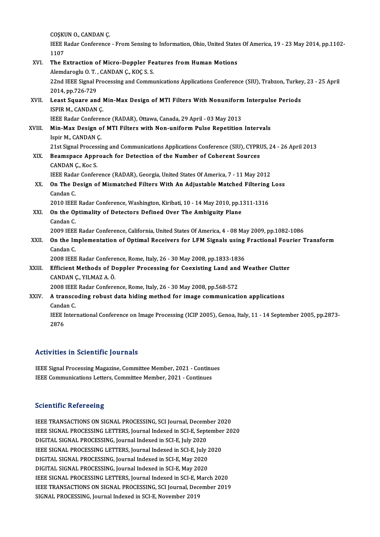COŞKUN O., CANDAN Ç.<br>LEFE Padar Canfarança

IEEE Radar Conference - From Sensing to Information, Ohio, United States Of America, 19 - 23 May 2014, pp.1102-<br>1107 COȘKI<br>IEEE F<br>1107<br>The F IEEE Radar Conference - From Sensing to Information, Ohio, United State<br>1107<br>XVI. The Extraction of Micro-Doppler Features from Human Motions<br>Alemdanesiy O.T. CANDAN G. KOGS S. 1107<br>The Extraction of Micro-Doppler Fe<br>Alemdaroglu O.T., CANDAN Ç., KOÇ S.S.<br>22nd IEEE Signal Processing and Commu 22nd IEEE Signal Processing and Communications Applications Conference (SIU), Trabzon, Turkey, 23 - 25 April<br>2014, pp.726-729 Alemdaroglu O.T., CANDAN Ç., KOÇ S.S. 22nd IEEE Signal Processing and Communications Applications Conference (SIU), Trabzon, Turkey<br>2014, pp.726-729<br>XVII. Least Square and Min-Max Design of MTI Filters With Nonuniform Interpulse Periods<br>ISDIP M. CANDAN C

2014, pp.726-729<br>Least Square and I<br>ISPIR M., CANDAN Ç.<br>IEEE Pader Conferen ISPIR M., CANDAN Ç.<br>IEEE Radar Conference (RADAR), Ottawa, Canada, 29 April - 03 May 2013

ISPIR M., CANDAN Ç.<br>IEEE Radar Conference (RADAR), Ottawa, Canada, 29 April - 03 May 2013<br>XVIII. Min-Max Design of MTI Filters with Non-uniform Pulse Repetition Intervals **IEEE Radar Confere:<br>Min-Max Design o<br>Ispir M., CANDAN Ç.<br>21st Signal Processi** Min-Max Design of MTI Filters with Non-uniform Pulse Repetition Intervals<br>Ispir M., CANDAN Ç.<br>21st Signal Processing and Communications Applications Conference (SIU), CYPRUS, 24 - 26 April 2013<br>Beamanage Annreagh for Detec

## Ispir M., CANDAN Ç.<br>21st Signal Processing and Communications Applications Conference (SIU), CYPRI<br>XIX. Beamspace Approach for Detection of the Number of Coherent Sources 21st Signal Process<br>Beamspace Appr<br>CANDAN Ç., Koc S.<br>JEEE Badar Confor Beamspace Approach for Detection of the Number of Coherent Sources<br>CANDAN Ç., Koc S.<br>IEEE Radar Conference (RADAR), Georgia, United States Of America, 7 - 11 May 2012<br>On The Design of Mismatched Eilters With An Adjustable

## CANDAN Ç., Koc S.<br>IEEE Radar Conference (RADAR), Georgia, United States Of America, 7 - 11 May 2012<br>XX. On The Design of Mismatched Filters With An Adjustable Matched Filtering Loss<br>Candan C **IEEE Rada<br>On The D<br>Candan C.<br>2010 IEEE** On The Design of Mismatched Filters With An Adjustable Matched Filtering<br>Candan C.<br>2010 IEEE Radar Conference, Washington, Kiribati, 10 - 14 May 2010, pp.1311-1316

Candan C.<br>2010 IEEE Radar Conference, Washington, Kiribati, 10 - 14 May 2010, pp.1<br>XXI. On the Optimality of Detectors Defined Over The Ambiguity Plane 2010 IEEE<br>**On the Op**<br>Candan C.<br>2009 IEEE 2009 IEEE Radar Conference, California, United States Of America, 4 - 08 May 2009, pp.1082-1086<br>2009 IEEE Radar Conference, California, United States Of America, 4 - 08 May 2009, pp.1082-1086

Candan C.<br>2009 IEEE Radar Conference, California, United States Of America, 4 - 08 May 2009, pp.1082-1086<br>XXII. On the Implementation of Optimal Receivers for LFM Signals using Fractional Fourier Transform<br>Candan C 2009 IEEE<br>**On the Im**<br>Candan C.<br>2009 IEEE On the Implementation of Optimal Receivers for LFM Signals using<br>Candan C.<br>2008 IEEE Radar Conference, Rome, Italy, 26 - 30 May 2008, pp.1833-1836<br>Efficient Mathods of Deppler Prosessing for Coovisting Land and W

2008 IEEE Radar Conference, Rome, Italy, 26 - 30 May 2008, pp 1833-1836

Candan C.<br>2008 IEEE Radar Conference, Rome, Italy, 26 - 30 May 2008, pp.1833-1836<br>XXIII. Efficient Methods of Doppler Processing for Coexisting Land and Weather Clutter<br>CANDAN C., YILMAZ A. Ö.

2008 IEEE Radar Conference, Rome, Italy, 26 - 30 May 2008, pp.568-572

## CANDAN Ç., YILMAZ A. Ö.<br>2008 IEEE Radar Conference, Rome, Italy, 26 - 30 May 2008, pp.568-572<br>XXIV. A transcoding robust data hiding method for image communication applications 2008 IEEE<br>**A transco<br>Candan C.**<br>IEEE Inter A transcoding robust data hiding method for image communication applications<br>Candan C.<br>IEEE International Conference on Image Processing (ICIP 2005), Genoa, Italy, 11 - 14 September 2005, pp.2873-<br>2876

Canda<br>IEEE I<br>2876

# Activities in Scientific Journals

IEEE Signal Processing Magazine, Committee Member, 2021 - Continues IEEE Communications Letters, Committee Member, 2021 - Continues

### **Scientific Refereeing**

Scientific Refereeing<br>IEEE TRANSACTIONS ON SIGNAL PROCESSING, SCI Journal, December 2020<br>JEEE SIGNAL PROCESSING LETTERS Journal Indoved in SCLE Sontamber 20 BECETRANSACTIONS ON SIGNAL PROCESSING, SCI Journal, December 2020<br>IEEE TRANSACTIONS ON SIGNAL PROCESSING, SCI Journal, December 2020<br>DICITAL SIGNAL PROCESSING Leurnal Indexed in SCLE, July 2020 IEEE TRANSACTIONS ON SIGNAL PROCESSING, SCI Journal, Decem<mark>l</mark><br>IEEE SIGNAL PROCESSING LETTERS, Journal Indexed in SCI-E, Sept<br>DIGITAL SIGNAL PROCESSING, Journal Indexed in SCI-E, July 2020<br>IEEE SIGNAL PROCESSING, LETTERS, J IEEE SIGNAL PROCESSING LETTERS, Journal Indexed in SCI-E, September<br>DIGITAL SIGNAL PROCESSING, Journal Indexed in SCI-E, July 2020<br>IEEE SIGNAL PROCESSING LETTERS, Journal Indexed in SCI-E, July 2020<br>DIGITAL SIGNAL PROCESSI DIGITAL SIGNAL PROCESSING, Journal Indexed in SCI-E, July 2020<br>IEEE SIGNAL PROCESSING LETTERS, Journal Indexed in SCI-E, July 2<br>DIGITAL SIGNAL PROCESSING, Journal Indexed in SCI-E, May 2020<br>DIGITAL SIGNAL PROCESSING, Journ IEEE SIGNAL PROCESSING LETTERS, Journal Indexed in SCI-E, July 2<br>DIGITAL SIGNAL PROCESSING, Journal Indexed in SCI-E, May 2020<br>DIGITAL SIGNAL PROCESSING, Journal Indexed in SCI-E, May 2020<br>JEEE SIGNAL PROCESSING, LETTERS, DIGITAL SIGNAL PROCESSING, Journal Indexed in SCI-E, May 2020<br>DIGITAL SIGNAL PROCESSING, Journal Indexed in SCI-E, May 2020<br>IEEE SIGNAL PROCESSING LETTERS, Journal Indexed in SCI-E, March 2020<br>IEEE TRANSACTIONS ON SIGNAL P DIGITAL SIGNAL PROCESSING, Journal Indexed in SCI-E, May 2020<br>IEEE SIGNAL PROCESSING LETTERS, Journal Indexed in SCI-E, March 2020<br>IEEE TRANSACTIONS ON SIGNAL PROCESSING, SCI Journal, December 2019<br>SIGNAL PROCESSING, Journ IEEE SIGNAL PROCESSING LETTERS, Journal Indexed in SCI-E, M<br>IEEE TRANSACTIONS ON SIGNAL PROCESSING, SCI Journal, Dec<br>SIGNAL PROCESSING, Journal Indexed in SCI-E, November 2019